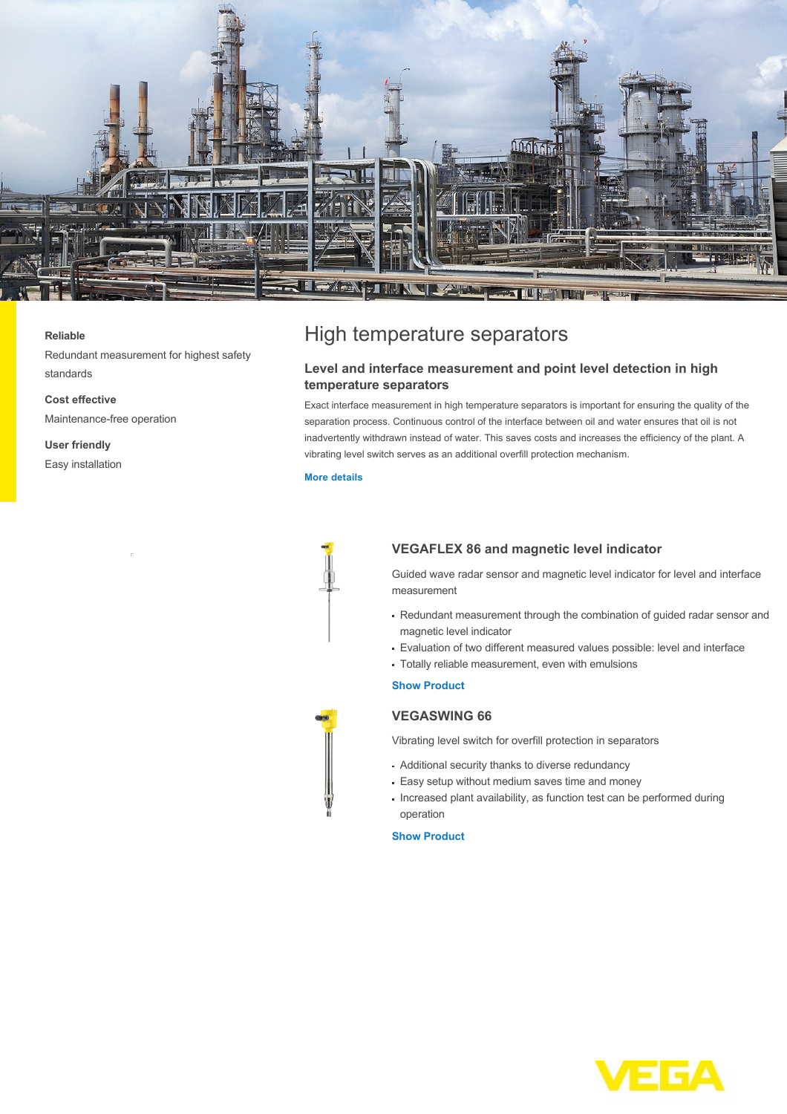

#### **Reliable**

Redundant measurement for highest safety standards

**Cost effective** Maintenance-free operation

**User friendly** Easy installation

# High temperature separators

# **Level and interface measurement and point level detection in high temperature separators**

Exact interface measurement in high temperature separators is important for ensuring the quality of the separation process. Continuous control of the interface between oil and water ensures that oil is not inadvertently withdrawn instead of water. This saves costs and increases the efficiency of the plant. A vibrating level switch serves as an additional overfill protection mechanism.

### **[More details](http://localhost/en-us/industries/refining-petrochemical/high-temperature-separators)**



## **VEGAFLEX 86 and magnetic level indicator**

Guided wave radar sensor and magnetic level indicator for level and interface measurement

- Redundant measurement through the combination of guided radar sensor and magnetic level indicator
- Evaluation of two different measured values possible: level and interface
- Totally reliable measurement, even with emulsions

## **[Show Product](http://localhost/en-us/products/product-catalog/level/guided-wave-radar/vegaflex-86)**

# **VEGASWING 66**

Vibrating level switch for overfill protection in separators

- Additional security thanks to diverse redundancy
- Easy setup without medium saves time and money
- Increased plant availability, as function test can be performed during operation

### **[Show Product](http://localhost/en-us/products/product-catalog/switching/vibration/vegaswing-66)**